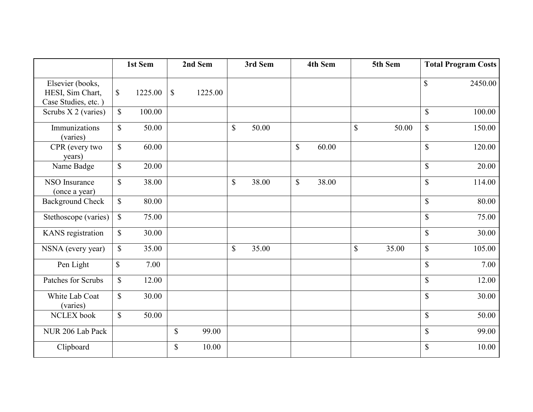|                                                             | 1st Sem      |         |              | 2nd Sem |              | 3rd Sem |              | 4th Sem |              | 5th Sem |              | <b>Total Program Costs</b> |
|-------------------------------------------------------------|--------------|---------|--------------|---------|--------------|---------|--------------|---------|--------------|---------|--------------|----------------------------|
| Elsevier (books,<br>HESI, Sim Chart,<br>Case Studies, etc.) | $\mathbb{S}$ | 1225.00 | \$           | 1225.00 |              |         |              |         |              |         | \$           | 2450.00                    |
| Scrubs X 2 (varies)                                         | $\mathbf S$  | 100.00  |              |         |              |         |              |         |              |         | $\mathbb{S}$ | 100.00                     |
| Immunizations<br>(varies)                                   | $\mathbb{S}$ | 50.00   |              |         | $\mathbb{S}$ | 50.00   |              |         | $\mathbb{S}$ | 50.00   | $\mathbb{S}$ | 150.00                     |
| CPR (every two<br>years)                                    | $\mathbb{S}$ | 60.00   |              |         |              |         | $\mathbb{S}$ | 60.00   |              |         | $\mathbb{S}$ | 120.00                     |
| Name Badge                                                  | $\mathbb{S}$ | 20.00   |              |         |              |         |              |         |              |         | $\mathbb{S}$ | 20.00                      |
| NSO Insurance<br>(once a year)                              | $\mathbb{S}$ | 38.00   |              |         | $\mathbb{S}$ | 38.00   | $\mathbb{S}$ | 38.00   |              |         | $\mathbb{S}$ | 114.00                     |
| <b>Background Check</b>                                     | $\mathbb{S}$ | 80.00   |              |         |              |         |              |         |              |         | $\mathbb{S}$ | 80.00                      |
| Stethoscope (varies)                                        | $\mathbb{S}$ | 75.00   |              |         |              |         |              |         |              |         | $\mathbb{S}$ | 75.00                      |
| KANS registration                                           | \$           | 30.00   |              |         |              |         |              |         |              |         | $\mathbb{S}$ | 30.00                      |
| NSNA (every year)                                           | $\mathbb{S}$ | 35.00   |              |         | $\mathbb{S}$ | 35.00   |              |         | $\mathbb{S}$ | 35.00   | $\mathbb{S}$ | 105.00                     |
| Pen Light                                                   | $\mathbb{S}$ | 7.00    |              |         |              |         |              |         |              |         | $\mathbb{S}$ | 7.00                       |
| Patches for Scrubs                                          | $\mathbb{S}$ | 12.00   |              |         |              |         |              |         |              |         | $\mathbb S$  | 12.00                      |
| White Lab Coat<br>(varies)                                  | $\mathbb{S}$ | 30.00   |              |         |              |         |              |         |              |         | $\mathbb{S}$ | 30.00                      |
| NCLEX book                                                  | $\mathbb{S}$ | 50.00   |              |         |              |         |              |         |              |         | $\mathbb{S}$ | 50.00                      |
| NUR 206 Lab Pack                                            |              |         | $\mathbb{S}$ | 99.00   |              |         |              |         |              |         | $\mathbb{S}$ | 99.00                      |
| Clipboard                                                   |              |         | \$           | 10.00   |              |         |              |         |              |         | \$           | 10.00                      |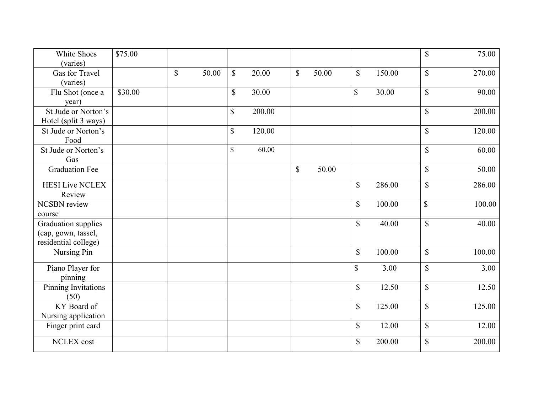| White Shoes<br>(varies)                                            | \$75.00 |              |       |              |        |              |       |                           |        | \$           | 75.00  |
|--------------------------------------------------------------------|---------|--------------|-------|--------------|--------|--------------|-------|---------------------------|--------|--------------|--------|
| Gas for Travel<br>(varies)                                         |         | $\mathbb{S}$ | 50.00 | $\mathbb{S}$ | 20.00  | $\mathbb{S}$ | 50.00 | $\mathbb{S}$              | 150.00 | $\mathbb{S}$ | 270.00 |
| Flu Shot (once a<br>year)                                          | \$30.00 |              |       | \$           | 30.00  |              |       | $\mathbb{S}$              | 30.00  | \$           | 90.00  |
| St Jude or Norton's<br>Hotel (split 3 ways)                        |         |              |       | $\mathbb{S}$ | 200.00 |              |       |                           |        | $\mathbb{S}$ | 200.00 |
| St Jude or Norton's<br>Food                                        |         |              |       | \$           | 120.00 |              |       |                           |        | $\mathbb{S}$ | 120.00 |
| St Jude or Norton's<br>Gas                                         |         |              |       | \$           | 60.00  |              |       |                           |        | \$           | 60.00  |
| <b>Graduation Fee</b>                                              |         |              |       |              |        | $\mathbb{S}$ | 50.00 |                           |        | \$           | 50.00  |
| <b>HESI Live NCLEX</b><br>Review                                   |         |              |       |              |        |              |       | $\boldsymbol{\mathsf{S}}$ | 286.00 | \$           | 286.00 |
| <b>NCSBN</b> review<br>course                                      |         |              |       |              |        |              |       | $\mathbb{S}$              | 100.00 | $\mathbb{S}$ | 100.00 |
| Graduation supplies<br>(cap, gown, tassel,<br>residential college) |         |              |       |              |        |              |       | \$                        | 40.00  | \$           | 40.00  |
| Nursing Pin                                                        |         |              |       |              |        |              |       | \$                        | 100.00 | \$           | 100.00 |
| Piano Player for<br>pinning                                        |         |              |       |              |        |              |       | $\mathbb{S}$              | 3.00   | \$           | 3.00   |
| Pinning Invitations<br>(50)                                        |         |              |       |              |        |              |       | \$                        | 12.50  | \$           | 12.50  |
| KY Board of<br>Nursing application                                 |         |              |       |              |        |              |       | $\mathbb{S}$              | 125.00 | $\mathbb{S}$ | 125.00 |
| Finger print card                                                  |         |              |       |              |        |              |       | \$                        | 12.00  | \$           | 12.00  |
| <b>NCLEX</b> cost                                                  |         |              |       |              |        |              |       | $\mathbb{S}$              | 200.00 | $\mathbb{S}$ | 200.00 |